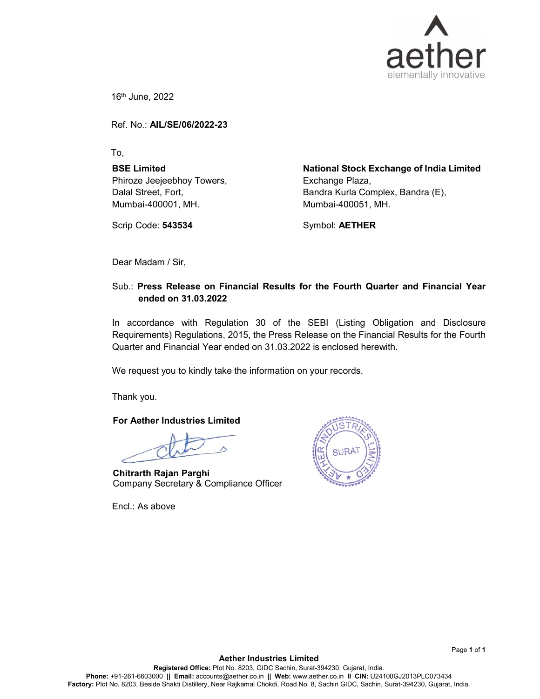

16th June, 2022

Ref. No.: AIL/SE/06/2022-23

To,

BSE Limited Phiroze Jeejeebhoy Towers, Dalal Street, Fort, Mumbai-400001, MH.

Scrip Code: 543534

National Stock Exchange of India Limited Exchange Plaza, Bandra Kurla Complex, Bandra (E), Mumbai-400051, MH.

Symbol: AETHER

Dear Madam / Sir,

# Sub.: Press Release on Financial Results for the Fourth Quarter and Financial Year ended on 31.03.2022

In accordance with Regulation 30 of the SEBI (Listing Obligation and Disclosure Requirements) Regulations, 2015, the Press Release on the Financial Results for the Fourth Quarter and Financial Year ended on 31.03.2022 is enclosed herewith.

We request you to kindly take the information on your records.

Thank you.

For Aether Industries Limited

Chitrarth Rajan Parghi Company Secretary & Compliance Officer

Encl.: As above



Page 1 of 1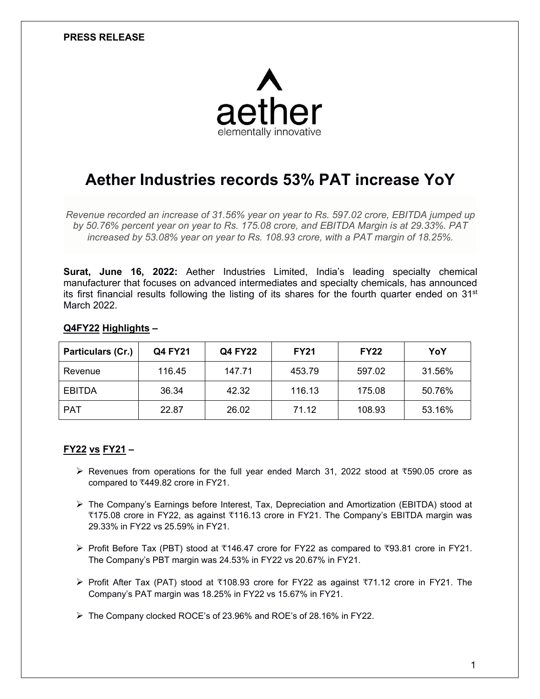

# **Aether Industries records 53% PAT increase YoY**

*Revenue recorded an increase of 31.56% year on year to Rs. 597.02 crore, EBITDA jumped up by 50.76% percent year on year to Rs. 175.08 crore, and EBITDA Margin is at 29.33%. PAT increased by 53.08% year on year to Rs. 108.93 crore, with a PAT margin of 18.25%.*

**Surat, June 16, 2022:** Aether Industries Limited, India's leading specialty chemical manufacturer that focuses on advanced intermediates and specialty chemicals, has announced its first financial results following the listing of its shares for the fourth quarter ended on 31<sup>st</sup> March 2022.

## **Q4FY22 Highlights –**

| Particulars (Cr.) | <b>Q4 FY21</b> | <b>Q4 FY22</b> | <b>FY21</b> | <b>FY22</b> | YoY    |
|-------------------|----------------|----------------|-------------|-------------|--------|
| Revenue           | 116.45         | 147.71         | 453.79      | 597.02      | 31.56% |
| <b>EBITDA</b>     | 36.34          | 42.32          | 116.13      | 175.08      | 50.76% |
| <b>PAT</b>        | 22.87          | 26.02          | 71.12       | 108.93      | 53.16% |

# **FY22 vs FY21 –**

- Revenues from operations for the fullyear ended March 31, 2022 stood at ₹590.05 crore as compared to ₹449.82 crore in FY21.
- The Company's Earnings before Interest, Tax, Depreciation and Amortization (EBITDA) stood at ₹175.08 crore in FY22, as against ₹116.13 crore in FY21. The Company's EBITDA margin was 29.33% in FY22 vs 25.59% in FY21.
- Profit Before Tax (PBT) stood at ₹146.47 crore for FY22 as compared to ₹93.81 crore in FY21. The Company's PBT margin was 24.53% in FY22 vs 20.67% in FY21.
- Profit After Tax (PAT) stood at ₹108.93 crore for FY22 as against₹71.12 crore in FY21. The Company's PAT margin was 18.25% in FY22 vs 15.67% in FY21.

The Company clocked ROCE's of 23.96% and ROE's of 28.16% in FY22.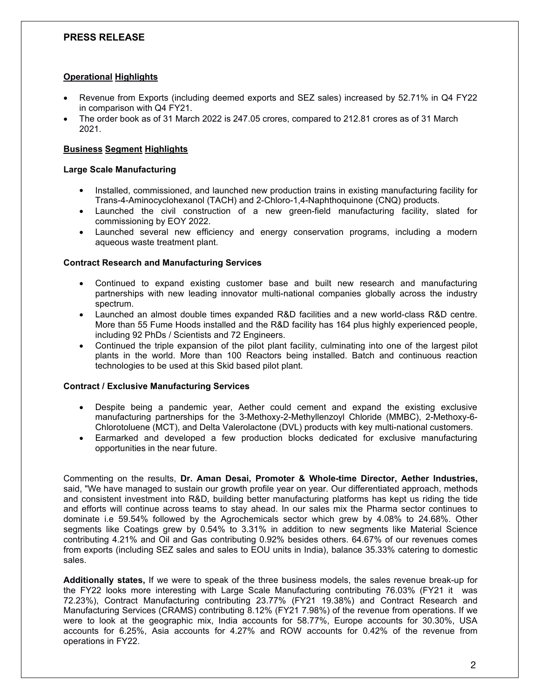## **Operational Highlights**

- Revenue from Exports (including deemed exports and SEZ sales) increased by 52.71% in Q4 FY22 in comparison with Q4 FY21.
- The order book as of 31 March 2022 is 247.05 crores, compared to 212.81 crores as of 31 March 2021.

## **Business Segment Highlights**

#### **Large Scale Manufacturing**

- Installed, commissioned, and launched new production trains in existing manufacturing facility for Trans-4-Aminocyclohexanol (TACH) and 2-Chloro-1,4-Naphthoquinone (CNQ) products.
- Launched the civil construction of a new green-field manufacturing facility, slated for commissioning by EOY 2022.
- Launched several new efficiency and energy conservation programs, including a modern aqueous waste treatment plant.

#### **Contract Research and Manufacturing Services**

- Continued to expand existing customer base and built new research and manufacturing partnerships with new leading innovator multi-national companies globally across the industry spectrum.
- Launched an almost double times expanded R&D facilities and a new world-class R&D centre. More than 55 Fume Hoods installed and the R&D facility has 164 plus highly experienced people, including 92 PhDs / Scientists and 72 Engineers.
- Continued the triple expansion of the pilot plant facility, culminating into one of the largest pilot plants in the world. More than 100 Reactors being installed. Batch and continuous reaction technologies to be used at this Skid based pilot plant.

#### **Contract / Exclusive Manufacturing Services**

- Despite being a pandemic year, Aether could cement and expand the existing exclusive manufacturing partnerships for the 3-Methoxy-2-Methyllenzoyl Chloride (MMBC), 2-Methoxy-6- Chlorotoluene (MCT), and Delta Valerolactone (DVL) products with key multi-national customers.
- Earmarked and developed a few production blocks dedicated for exclusive manufacturing opportunities in the near future.

Commenting on the results, **Dr. Aman Desai, Promoter & Whole-time Director, Aether Industries,** said, "We have managed to sustain our growth profile year on year. Our differentiated approach, methods and consistent investment into R&D, building better manufacturing platforms has kept us riding the tide and efforts will continue across teams to stay ahead. In our sales mix the Pharma sector continues to dominate i.e 59.54% followed by the Agrochemicals sector which grew by 4.08% to 24.68%. Other segments like Coatings grew by 0.54% to 3.31% in addition to new segments like Material Science contributing 4.21% and Oil and Gas contributing 0.92% besides others. 64.67% of our revenues comes from exports (including SEZ sales and sales to EOU units in India), balance 35.33% catering to domestic sales.

**Additionally states,** If we were to speak of the three business models, the sales revenue break-up for the FY22 looks more interesting with Large Scale Manufacturing contributing 76.03% (FY21 it was 72.23%), Contract Manufacturing contributing 23.77% (FY21 19.38%) and Contract Research and Manufacturing Services (CRAMS) contributing 8.12% (FY21 7.98%) of the revenue from operations. If we were to look at the geographic mix, India accounts for 58.77%, Europe accounts for 30.30%, USA accounts for 6.25%, Asia accounts for 4.27% and ROW accounts for 0.42% of the revenue from operations in FY22.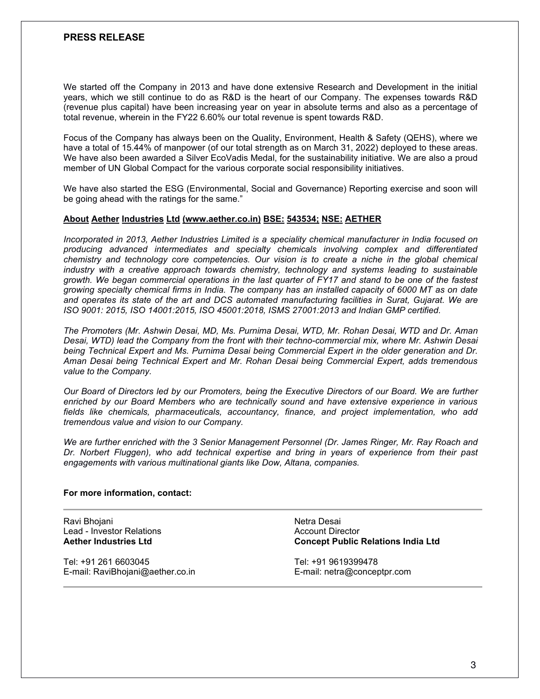We started off the Company in 2013 and have done extensive Research and Development in the initial years, which we still continue to do as R&D is the heart of our Company. The expenses towards R&D (revenue plus capital) have been increasing year on year in absolute terms and also as a percentage of total revenue, wherein in the FY22 6.60% our total revenue is spent towards R&D.

Focus of the Company has always been on the Quality, Environment, Health & Safety(QEHS), where we have a total of 15.44% of manpower (of our total strength as on March 31, 2022) deployed to these areas. We have also been awarded a Silver EcoVadis Medal, for the sustainability initiative. We are also a proud member of UN Global Compact for the various corporate social responsibility initiatives.

We have also started the ESG (Environmental, Social and Governance) Reporting exercise and soon will be going ahead with the ratings for the same."

#### **About Aether Industries Ltd (www.aether.co.in) BSE: 543534; NSE: AETHER**

*Incorporated in 2013, Aether Industries Limited isa speciality chemical manufacturer in India focused on producing advanced intermediates and specialty chemicals involving complex and differentiated chemistry and technology core competencies. Our vision is to create a niche in the globalchemical industry with a creative approach towards chemistry, technology and systems leading to sustainable* growth. We began commercial operations in the last quarter of FY17 and stand to be one of the fastest growing specialty chemical firms in India. The company has an installed capacity of 6000 MT as on date *and operates its state of the art and DCS automated manufacturing facilities in Surat,Gujarat. We are ISO 9001: 2015, ISO 14001:2015, ISO 45001:2018, ISMS 27001:2013 and Indian GMP certified.*

*The Promoters (Mr. Ashwin Desai, MD,Ms. Purnima Desai, WTD, Mr. Rohan Desai, WTD and Dr. Aman Desai, WTD) lead the Company from the front with their techno-commercial mix, where Mr. Ashwin Desai being Technical Expert and Ms. Purnima Desai being Commercial Expert in the oldergeneration and Dr. Aman Desai being Technical Expert and Mr. Rohan Desai being Commercial Expert, adds tremendous value to the Company.*

Our Board of Directors led by our Promoters, being the Executive Directors of our Board. We are further *enriched by our Board Members who are technically sound and have extensive experience in various fields like chemicals,pharmaceuticals, accountancy, finance, and project implementation, who add tremendous value and vision to our Company.*

*We are further enriched with the 3 Senior Management Personnel (Dr. James Ringer, Mr. Ray Roach and Dr. Norbert Fluggen), who add technical expertise and bring in years of experience from their past engagements with various multinational giants like Dow, Altana, companies.*

#### **For more information, contact:**

Ravi Bhojani Lead - Investor Relations **Aether Industries Ltd**

Tel: +91 261 6603045 E-mail: RaviBhojani@aether.co.in Netra Desai Account Director **Concept Public Relations India Ltd**

Tel: +91 9619399478 E-mail: netra@conceptpr.com